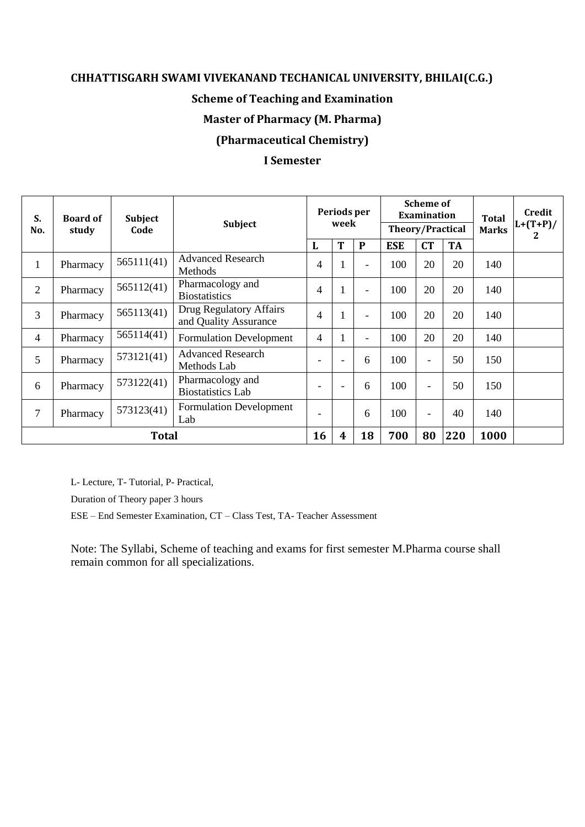#### **CHHATTISGARH SWAMI VIVEKANAND TECHANICAL UNIVERSITY, BHILAI(C.G.)**

#### **Scheme of Teaching and Examination**

#### **Master of Pharmacy (M. Pharma)**

# **(Pharmaceutical Chemistry)**

#### **I Semester**

| S.<br>No.      | <b>Board of</b><br>study | <b>Subject</b><br>Code | Subject                                          |                          | Periods per<br>week      |                          | <b>Scheme of</b><br>Examination<br><b>Theory/Practical</b> |                          |           | <b>Total</b><br><b>Marks</b> | Credit<br>$L+(T+P)/$<br>$\overline{2}$ |
|----------------|--------------------------|------------------------|--------------------------------------------------|--------------------------|--------------------------|--------------------------|------------------------------------------------------------|--------------------------|-----------|------------------------------|----------------------------------------|
|                |                          |                        |                                                  | L                        | T                        | $\mathbf{P}$             | <b>ESE</b>                                                 | <b>CT</b>                | <b>TA</b> |                              |                                        |
| $\mathbf{1}$   | Pharmacy                 | 565111(41)             | <b>Advanced Research</b><br>Methods              | $\overline{4}$           | $\mathbf{1}$             | $\overline{\phantom{a}}$ | 100                                                        | 20                       | 20        | 140                          |                                        |
| $\overline{2}$ | Pharmacy                 | 565112(41)             | Pharmacology and<br><b>Biostatistics</b>         | 4                        | $\mathbf{1}$             |                          | 100                                                        | 20                       | 20        | 140                          |                                        |
| $\overline{3}$ | Pharmacy                 | 565113(41)             | Drug Regulatory Affairs<br>and Quality Assurance | $\overline{4}$           | $\mathbf{1}$             | $\overline{\phantom{a}}$ | 100                                                        | 20                       | 20        | 140                          |                                        |
| $\overline{4}$ | Pharmacy                 | 565114(41)             | <b>Formulation Development</b>                   | 4                        | 1                        | $\overline{\phantom{a}}$ | 100                                                        | 20                       | 20        | 140                          |                                        |
| 5              | Pharmacy                 | 573121(41)             | <b>Advanced Research</b><br>Methods Lab          |                          | $\overline{\phantom{a}}$ | 6                        | 100                                                        | $\overline{\phantom{0}}$ | 50        | 150                          |                                        |
| 6              | Pharmacy                 | 573122(41)             | Pharmacology and<br><b>Biostatistics Lab</b>     | ۰                        | $\blacksquare$           | 6                        | 100                                                        | ۳                        | 50        | 150                          |                                        |
| 7              | Pharmacy                 | 573123(41)             | <b>Formulation Development</b><br>Lab            | $\overline{\phantom{a}}$ |                          | 6                        | 100                                                        | $\overline{\phantom{0}}$ | 40        | 140                          |                                        |
| <b>Total</b>   |                          |                        |                                                  | 16                       | $\overline{\mathbf{4}}$  | 18                       | 700                                                        | 80                       | 220       | 1000                         |                                        |

L- Lecture, T- Tutorial, P- Practical,

Duration of Theory paper 3 hours

ESE – End Semester Examination, CT – Class Test, TA- Teacher Assessment

Note: The Syllabi, Scheme of teaching and exams for first semester M.Pharma course shall remain common for all specializations.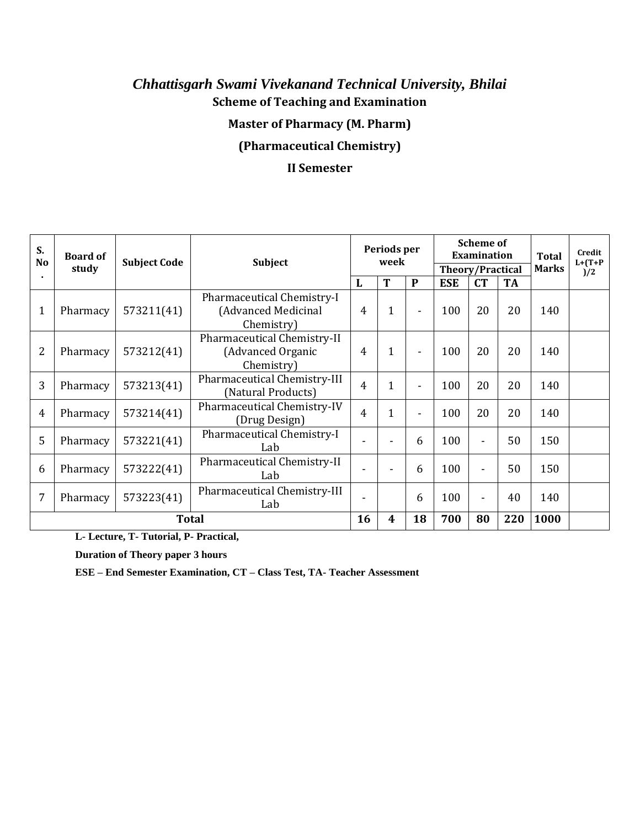# *Chhattisgarh Swami Vivekanand Technical University, Bhilai* **Scheme of Teaching and Examination Master of Pharmacy (M. Pharm)**

# **(Pharmaceutical Chemistry)**

# **II Semester**

| S.<br>N <sub>o</sub> | <b>Board of</b><br>study | <b>Subject Code</b> | <b>Subject</b><br>T<br>L                                        |   | Periods per<br>week |                | <b>Scheme of</b><br><b>Examination</b><br><b>Theory/Practical</b> |                          |           | <b>Total</b><br><b>Marks</b> | Credit<br>$L+ (T+P)$<br>)/2 |
|----------------------|--------------------------|---------------------|-----------------------------------------------------------------|---|---------------------|----------------|-------------------------------------------------------------------|--------------------------|-----------|------------------------------|-----------------------------|
|                      |                          |                     |                                                                 |   |                     | $\mathbf{P}$   | <b>ESE</b>                                                        | CT                       | <b>TA</b> |                              |                             |
| 1                    | Pharmacy                 | 573211(41)          | Pharmaceutical Chemistry-I<br>(Advanced Medicinal<br>Chemistry) | 4 | 1                   | ٠              | 100                                                               | 20                       | 20        | 140                          |                             |
| 2                    | Pharmacy                 | 573212(41)          | Pharmaceutical Chemistry-II<br>(Advanced Organic<br>Chemistry)  | 4 | 1                   | $\blacksquare$ | 100                                                               | 20                       | 20        | 140                          |                             |
| 3                    | Pharmacy                 | 573213(41)          | Pharmaceutical Chemistry-III<br>(Natural Products)              | 4 | 1                   | $\blacksquare$ | 100                                                               | 20                       | 20        | 140                          |                             |
| 4                    | Pharmacy                 | 573214(41)          | Pharmaceutical Chemistry-IV<br>(Drug Design)                    | 4 | 1                   | $\blacksquare$ | 100                                                               | 20                       | 20        | 140                          |                             |
| 5                    | Pharmacy                 | 573221(41)          | Pharmaceutical Chemistry-I<br>Lab                               |   |                     | 6              | 100                                                               | $\blacksquare$           | 50        | 150                          |                             |
| 6                    | Pharmacy                 | 573222(41)          | Pharmaceutical Chemistry-II<br>Lab                              |   |                     | 6              | 100                                                               | $\blacksquare$           | 50        | 150                          |                             |
| 7                    | Pharmacy                 | 573223(41)          | Pharmaceutical Chemistry-III<br>Lab                             |   |                     | 6              | 100                                                               | $\overline{\phantom{a}}$ | 40        | 140                          |                             |
|                      | <b>Total</b>             |                     |                                                                 |   |                     | 18             | 700                                                               | 80                       | 220       | 1000                         |                             |

**L- Lecture, T- Tutorial, P- Practical,**

**Duration of Theory paper 3 hours**

**ESE – End Semester Examination, CT – Class Test, TA- Teacher Assessment**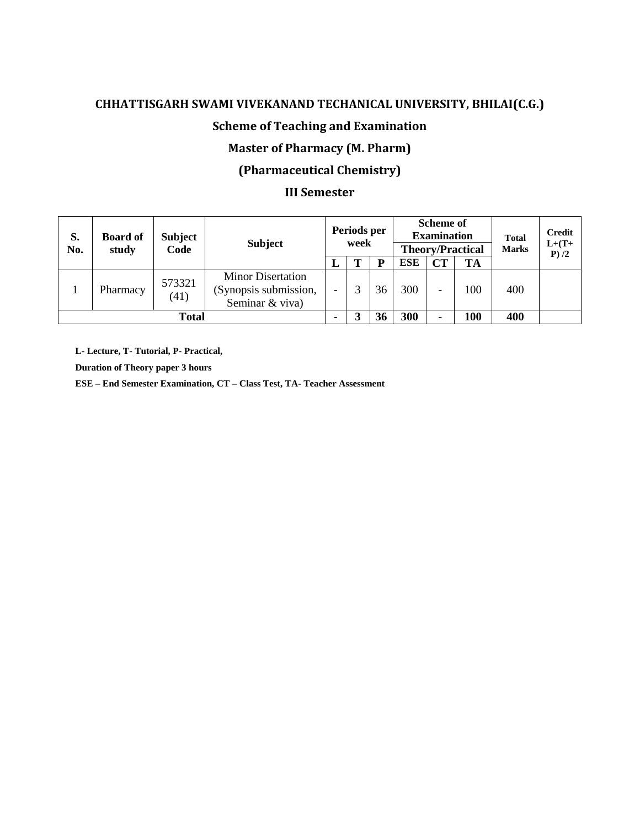#### **CHHATTISGARH SWAMI VIVEKANAND TECHANICAL UNIVERSITY, BHILAI(C.G.)**

# **Scheme of Teaching and Examination**

#### **Master of Pharmacy (M. Pharm)**

# **(Pharmaceutical Chemistry)**

#### **III Semester**

| S.<br>No. | <b>Board of</b><br>study | <b>Subject</b><br>Code | <b>Subject</b>                                                       |   | Periods per<br>week |    | <b>Scheme of</b><br><b>Examination</b><br><b>Theory/Practical</b> |    |           | <b>Total</b><br><b>Marks</b> | <b>Credit</b><br>$L+(T+$<br>P/2 |
|-----------|--------------------------|------------------------|----------------------------------------------------------------------|---|---------------------|----|-------------------------------------------------------------------|----|-----------|------------------------------|---------------------------------|
|           |                          |                        |                                                                      | L | m                   | D  | <b>ESE</b>                                                        | CT | <b>TA</b> |                              |                                 |
|           | Pharmacy                 | 573321<br>(41)         | <b>Minor Disertation</b><br>(Synopsis submission,<br>Seminar & viva) |   |                     | 36 | 300                                                               |    | 100       | 400                          |                                 |
| Total     |                          |                        |                                                                      |   |                     | 36 | 300                                                               | ۰  | 100       | 400                          |                                 |

**L- Lecture, T- Tutorial, P- Practical,**

**Duration of Theory paper 3 hours**

**ESE – End Semester Examination, CT – Class Test, TA- Teacher Assessment**